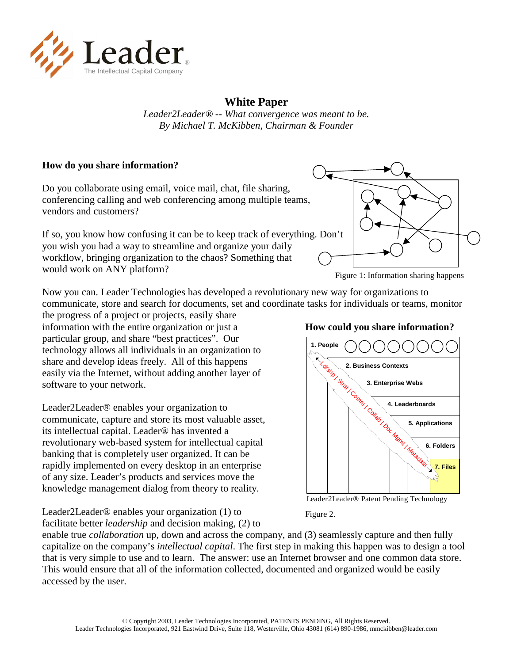

## **White Paper**

*Leader2Leader® -- What convergence was meant to be. By Michael T. McKibben, Chairman & Founder* 

#### **How do you share information?**

Do you collaborate using email, voice mail, chat, file sharing, conferencing calling and web conferencing among multiple teams, vendors and customers?

If so, you know how confusing it can be to keep track of everything. Don't you wish you had a way to streamline and organize your daily workflow, bringing organization to the chaos? Something that would work on ANY platform?



Figure 1: Information sharing happens

Now you can. Leader Technologies has developed a revolutionary new way for organizations to communicate, store and search for documents, set and coordinate tasks for individuals or teams, monitor

the progress of a project or projects, easily share information with the entire organization or just a particular group, and share "best practices". Our technology allows all individuals in an organization to share and develop ideas freely. All of this happens easily via the Internet, without adding another layer of software to your network.

Leader2Leader® enables your organization to communicate, capture and store its most valuable asset, its intellectual capital. Leader® has invented a revolutionary web-based system for intellectual capital banking that is completely user organized. It can be rapidly implemented on every desktop in an enterprise of any size. Leader's products and services move the knowledge management dialog from theory to reality.

#### **How could you share information?**



Leader2Leader® Patent Pending Technology

Figure 2.

Leader2Leader® enables your organization (1) to facilitate better *leadership* and decision making, (2) to

enable true *collaboration* up, down and across the company, and (3) seamlessly capture and then fully capitalize on the company's *intellectual capital*. The first step in making this happen was to design a tool that is very simple to use and to learn. The answer: use an Internet browser and one common data store. This would ensure that all of the information collected, documented and organized would be easily accessed by the user.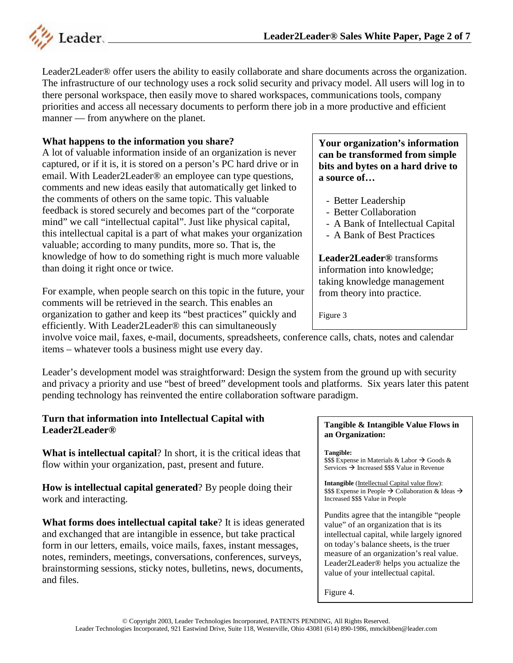

Leader2Leader® offer users the ability to easily collaborate and share documents across the organization. The infrastructure of our technology uses a rock solid security and privacy model. All users will log in to there personal workspace, then easily move to shared workspaces, communications tools, company priorities and access all necessary documents to perform there job in a more productive and efficient manner — from anywhere on the planet.

### **What happens to the information you share?**

A lot of valuable information inside of an organization is never captured, or if it is, it is stored on a person's PC hard drive or in email. With Leader2Leader® an employee can type questions, comments and new ideas easily that automatically get linked to the comments of others on the same topic. This valuable feedback is stored securely and becomes part of the "corporate mind" we call "intellectual capital". Just like physical capital, this intellectual capital is a part of what makes your organization valuable; according to many pundits, more so. That is, the knowledge of how to do something right is much more valuable than doing it right once or twice.

For example, when people search on this topic in the future, your comments will be retrieved in the search. This enables an organization to gather and keep its "best practices" quickly and efficiently. With Leader2Leader® this can simultaneously

**Your organization's information can be transformed from simple bits and bytes on a hard drive to a source of…** 

- Better Leadership
- Better Collaboration
- A Bank of Intellectual Capital
- A Bank of Best Practices

**Leader2Leader®** transforms information into knowledge; taking knowledge management from theory into practice.

Figure 3

involve voice mail, faxes, e-mail, documents, spreadsheets, conference calls, chats, notes and calendar items – whatever tools a business might use every day.

Leader's development model was straightforward: Design the system from the ground up with security and privacy a priority and use "best of breed" development tools and platforms. Six years later this patent pending technology has reinvented the entire collaboration software paradigm.

#### **Turn that information into Intellectual Capital with Leader2Leader®**

**What is intellectual capital**? In short, it is the critical ideas that flow within your organization, past, present and future.

**How is intellectual capital generated**? By people doing their work and interacting.

**What forms does intellectual capital take**? It is ideas generated and exchanged that are intangible in essence, but take practical form in our letters, emails, voice mails, faxes, instant messages, notes, reminders, meetings, conversations, conferences, surveys, brainstorming sessions, sticky notes, bulletins, news, documents, and files.

#### **Tangible & Intangible Value Flows in an Organization:**

**Tangible:** 

 $$$ \$\$ Expense in Materials & Labor  $\rightarrow$  Goods & Services  $\rightarrow$  Increased \$\$\$ Value in Revenue

**Intangible** (Intellectual Capital value flow):  $$$ \$\$ Expense in People  $\rightarrow$  Collaboration & Ideas  $\rightarrow$ Increased \$\$\$ Value in People

Pundits agree that the intangible "people value" of an organization that is its intellectual capital, while largely ignored on today's balance sheets, is the truer measure of an organization's real value. Leader2Leader® helps you actualize the value of your intellectual capital.

Figure 4.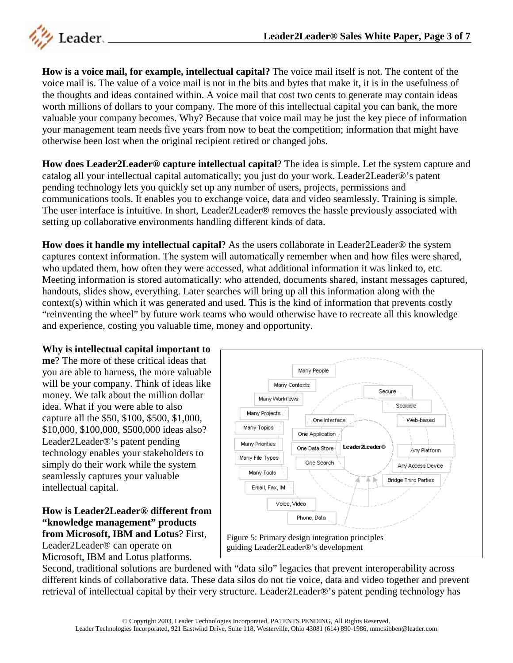

**How is a voice mail, for example, intellectual capital?** The voice mail itself is not. The content of the voice mail is. The value of a voice mail is not in the bits and bytes that make it, it is in the usefulness of the thoughts and ideas contained within. A voice mail that cost two cents to generate may contain ideas worth millions of dollars to your company. The more of this intellectual capital you can bank, the more valuable your company becomes. Why? Because that voice mail may be just the key piece of information your management team needs five years from now to beat the competition; information that might have otherwise been lost when the original recipient retired or changed jobs.

**How does Leader2Leader® capture intellectual capital**? The idea is simple. Let the system capture and catalog all your intellectual capital automatically; you just do your work. Leader2Leader®'s patent pending technology lets you quickly set up any number of users, projects, permissions and communications tools. It enables you to exchange voice, data and video seamlessly. Training is simple. The user interface is intuitive. In short, Leader2Leader® removes the hassle previously associated with setting up collaborative environments handling different kinds of data.

**How does it handle my intellectual capital**? As the users collaborate in Leader2Leader® the system captures context information. The system will automatically remember when and how files were shared, who updated them, how often they were accessed, what additional information it was linked to, etc. Meeting information is stored automatically: who attended, documents shared, instant messages captured, handouts, slides show, everything. Later searches will bring up all this information along with the context(s) within which it was generated and used. This is the kind of information that prevents costly "reinventing the wheel" by future work teams who would otherwise have to recreate all this knowledge and experience, costing you valuable time, money and opportunity.

#### **Why is intellectual capital important to**

**me**? The more of these critical ideas that you are able to harness, the more valuable will be your company. Think of ideas like money. We talk about the million dollar idea. What if you were able to also capture all the \$50, \$100, \$500, \$1,000, \$10,000, \$100,000, \$500,000 ideas also? Leader2Leader®'s patent pending technology enables your stakeholders to simply do their work while the system seamlessly captures your valuable intellectual capital.

#### **How is Leader2Leader® different from "knowledge management" products from Microsoft, IBM and Lotus**? First,

Leader2Leader® can operate on Microsoft, IBM and Lotus platforms.



Second, traditional solutions are burdened with "data silo" legacies that prevent interoperability across different kinds of collaborative data. These data silos do not tie voice, data and video together and prevent retrieval of intellectual capital by their very structure. Leader2Leader®'s patent pending technology has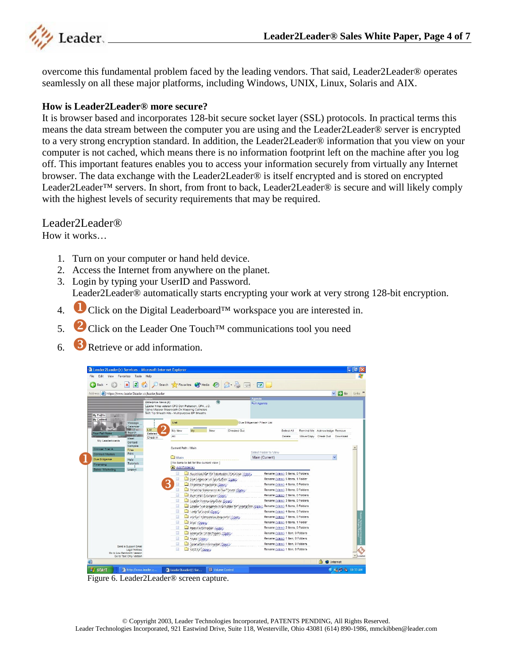

overcome this fundamental problem faced by the leading vendors. That said, Leader2Leader® operates seamlessly on all these major platforms, including Windows, UNIX, Linux, Solaris and AIX.

#### **How is Leader2Leader® more secure?**

It is browser based and incorporates 128-bit secure socket layer (SSL) protocols. In practical terms this means the data stream between the computer you are using and the Leader2Leader® server is encrypted to a very strong encryption standard. In addition, the Leader2Leader® information that you view on your computer is not cached, which means there is no information footprint left on the machine after you log off. This important features enables you to access your information securely from virtually any Internet browser. The data exchange with the Leader2Leader® is itself encrypted and is stored on encrypted Leader2Leader™ servers. In short, from front to back, Leader2Leader® is secure and will likely comply with the highest levels of security requirements that may be required.

Leader2Leader<sup>®</sup>

How it works…

- 1. Turn on your computer or hand held device.
- 2. Access the Internet from anywhere on the planet.
- 3. Login by typing your UserID and Password. Leader2Leader® automatically starts encrypting your work at very strong 128-bit encryption.
- 4. Click on the Digital Leaderboard™ workspace you are interested in.
- 5.  $\bullet$  Click on the Leader One Touch<sup>TM</sup> communications tool you need
- 6. **3** Retrieve or add information.

| Edit<br>Favorites<br>Tools<br>View                                                                                          | Help                                                                                                                                                                               |                                                                                                                                                                                     |                                           |                                                           |                                                         |                                                                                                                                             |                                                                                                          |  |                                                              |                           |          |
|-----------------------------------------------------------------------------------------------------------------------------|------------------------------------------------------------------------------------------------------------------------------------------------------------------------------------|-------------------------------------------------------------------------------------------------------------------------------------------------------------------------------------|-------------------------------------------|-----------------------------------------------------------|---------------------------------------------------------|---------------------------------------------------------------------------------------------------------------------------------------------|----------------------------------------------------------------------------------------------------------|--|--------------------------------------------------------------|---------------------------|----------|
| e<br>×<br>Back -                                                                                                            |                                                                                                                                                                                    |                                                                                                                                                                                     |                                           |                                                           | Search Severites C Media @ 3 - 3 - 7                    |                                                                                                                                             |                                                                                                          |  |                                                              |                           |          |
| https://www.leader2leader.cc/leader/leader<br>Address                                                                       |                                                                                                                                                                                    |                                                                                                                                                                                     |                                           |                                                           |                                                         |                                                                                                                                             |                                                                                                          |  |                                                              | $\vee$ $\Rightarrow$ Go   | Links >> |
| My Profile<br>My Context<br>Message                                                                                         | Enterprise News (6)<br>Leader hires veteran CFO Don Patterson, CPA, J.D.<br>Valve Mapper Steerocath-Dx Mapping Catheters<br>Soft Tip Sheath Kits - Multipurpose EP Sheaths<br>List |                                                                                                                                                                                     |                                           |                                                           |                                                         | Agenda<br>Full Agenda<br>Due Diligence> Files> List                                                                                         |                                                                                                          |  |                                                              |                           |          |
| Calendar<br>Search<br><b>Your Full Name</b><br>Meet<br>My Leaderboards<br>Contact                                           | List<br>Deleted<br>All<br>Check In                                                                                                                                                 | My New                                                                                                                                                                              | Mv                                        | New                                                       | Checked Out                                             |                                                                                                                                             | Select All<br>Delete                                                                                     |  | Remind Me Adknowledge Remove<br>Move/Copy Check Out Download |                           |          |
| Compile<br>Clinical Trial A<br>Files<br>Print<br><b>Contract Masters</b><br>Due Diligence<br>Help<br>Tutorials<br>Financino |                                                                                                                                                                                    | Current Path: / Main<br><b>Main</b>                                                                                                                                                 | I No items to list for the current view 1 |                                                           |                                                         | Select Folder to View<br>Main (Current)                                                                                                     |                                                                                                          |  |                                                              | $\ddotmark$               |          |
| Sales / Marketing<br>Logout                                                                                                 |                                                                                                                                                                                    | Add Folder(s)<br>Bosinnas Mar for Sunstaction Porchase (Doub)<br>π<br>U Due Digence un Sportucion (Open)<br>Pingneial Projections (Once)<br>Pinancial Statements & Out Tooks (Ogen) |                                           |                                                           |                                                         | Rename (view) 5 Items, 0 Folders<br>Rename (view) 5 Items, 1 Folder<br>Rename (view) 4 Items, 0 Folders<br>Rename (view) 3 Items, 0 Folders |                                                                                                          |  |                                                              |                           |          |
|                                                                                                                             |                                                                                                                                                                                    | 囗                                                                                                                                                                                   |                                           | Wyerstor Exemples (Open)<br>Usader Accounting Bute (Coga) | Lender Ivia Origence Information for Scienta Com (Open) |                                                                                                                                             | Rename (view) 2 Items, 0 Folders<br>Rename (view) 3 Items, 0 Folders<br>Rename (view) 5 Items, 0 Folders |  |                                                              |                           |          |
|                                                                                                                             |                                                                                                                                                                                    | carter or intentitioner.<br>Vintor Consettive Passer on Contra-<br>$\Box$<br>Mayo (Doon)<br>囗<br>Paget information (Cost)                                                           |                                           |                                                           |                                                         | Rename (view) 4 Items, 0 Folders<br>Rename (view) 7 Items, 0 Folders<br>Rename (view) 0 Items, 1 Folder<br>Rename (view) 2 Items, 0 Folders |                                                                                                          |  |                                                              |                           |          |
| Send a Support Email                                                                                                        |                                                                                                                                                                                    | Research White Papers (finant-<br>Sales (Ugenik)<br>π<br>Sparts com information (Open)-                                                                                             |                                           |                                                           |                                                         | Rename (view) 1 Item, 0 Folders<br>Rename (view) 1 Item, 0 Folders<br>Rename (view) 1 Item, 0 Folders                                       |                                                                                                          |  |                                                              |                           |          |
| Legal Notices<br>Go to Low Bandwidth Version<br>Go to Text Only Version<br>画                                                |                                                                                                                                                                                    |                                                                                                                                                                                     | WEB FX (Open)                             |                                                           |                                                         |                                                                                                                                             | Rename (view) 1 Item, 0 Folders                                                                          |  |                                                              |                           | Leader   |
| http://www.leader.c<br><b><i>is</i></b> start                                                                               |                                                                                                                                                                                    |                                                                                                                                                                                     | Leader ZLeader (r) Ser                    | <b>N</b> Volume Control                                   |                                                         |                                                                                                                                             |                                                                                                          |  | <b>A</b> O Internet                                          | <b>《 / 编 】 %</b> 10:33 AM |          |

Figure 6. Leader2Leader® screen capture.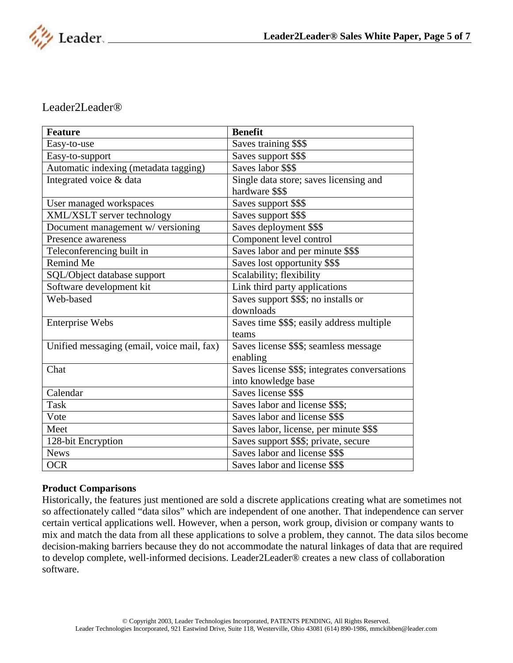

### Leader2Leader®

| <b>Feature</b>                             | <b>Benefit</b>                                 |
|--------------------------------------------|------------------------------------------------|
| Easy-to-use                                | Saves training \$\$\$                          |
| Easy-to-support                            | Saves support \$\$\$                           |
| Automatic indexing (metadata tagging)      | Saves labor \$\$\$                             |
| Integrated voice & data                    | Single data store; saves licensing and         |
|                                            | hardware \$\$\$                                |
| User managed workspaces                    | Saves support \$\$\$                           |
| XML/XSLT server technology                 | Saves support \$\$\$                           |
| Document management w/ versioning          | Saves deployment \$\$\$                        |
| Presence awareness                         | Component level control                        |
| Teleconferencing built in                  | Saves labor and per minute \$\$\$              |
| Remind Me                                  | Saves lost opportunity \$\$\$                  |
| SQL/Object database support                | Scalability; flexibility                       |
| Software development kit                   | Link third party applications                  |
| Web-based                                  | Saves support \$\$\$; no installs or           |
|                                            | downloads                                      |
| <b>Enterprise Webs</b>                     | Saves time \$\$\$; easily address multiple     |
|                                            | teams                                          |
| Unified messaging (email, voice mail, fax) | Saves license \$\$\$; seamless message         |
|                                            | enabling                                       |
| Chat                                       | Saves license \$\$\$; integrates conversations |
|                                            | into knowledge base                            |
| Calendar                                   | Saves license \$\$\$                           |
| <b>Task</b>                                | Saves labor and license \$\$\$;                |
| Vote                                       | Saves labor and license \$\$\$                 |
| Meet                                       | Saves labor, license, per minute \$\$\$        |
| 128-bit Encryption                         | Saves support \$\$\$; private, secure          |
| <b>News</b>                                | Saves labor and license \$\$\$                 |
| <b>OCR</b>                                 | Saves labor and license \$\$\$                 |

#### **Product Comparisons**

Historically, the features just mentioned are sold a discrete applications creating what are sometimes not so affectionately called "data silos" which are independent of one another. That independence can server certain vertical applications well. However, when a person, work group, division or company wants to mix and match the data from all these applications to solve a problem, they cannot. The data silos become decision-making barriers because they do not accommodate the natural linkages of data that are required to develop complete, well-informed decisions. Leader2Leader® creates a new class of collaboration software.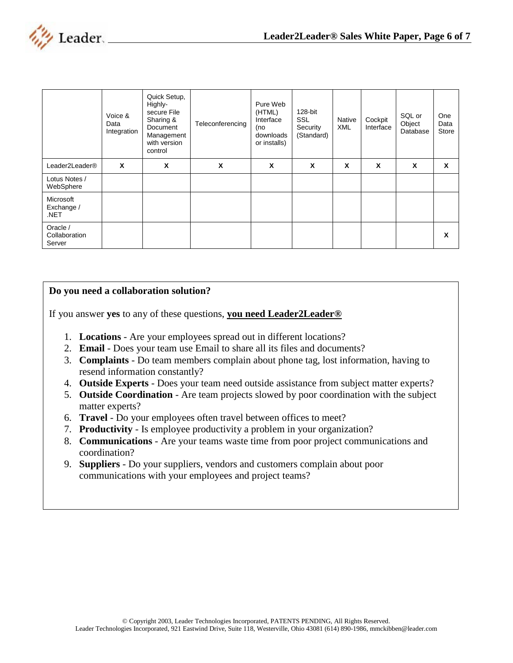

|                                     | Voice &<br>Data<br>Integration | Quick Setup,<br>Highly-<br>secure File<br>Sharing &<br>Document<br>Management<br>with version<br>control | Teleconferencing | Pure Web<br>(HTML)<br>Interface<br>(no<br>downloads<br>or installs) | 128-bit<br><b>SSL</b><br>Security<br>(Standard) | <b>Native</b><br><b>XML</b> | Cockpit<br>Interface | SQL or<br>Object<br>Database | One<br>Data<br>Store |
|-------------------------------------|--------------------------------|----------------------------------------------------------------------------------------------------------|------------------|---------------------------------------------------------------------|-------------------------------------------------|-----------------------------|----------------------|------------------------------|----------------------|
| Leader2Leader®                      | X                              | X                                                                                                        | X                | X                                                                   | X                                               | X                           | X                    | X                            | X                    |
| Lotus Notes /<br>WebSphere          |                                |                                                                                                          |                  |                                                                     |                                                 |                             |                      |                              |                      |
| Microsoft<br>Exchange /<br>.NET     |                                |                                                                                                          |                  |                                                                     |                                                 |                             |                      |                              |                      |
| Oracle /<br>Collaboration<br>Server |                                |                                                                                                          |                  |                                                                     |                                                 |                             |                      |                              | X                    |

#### **Do you need a collaboration solution?**

If you answer **yes** to any of these questions, **you need Leader2Leader®**

- 1. **Locations** Are your employees spread out in different locations?
- 2. **Email** Does your team use Email to share all its files and documents?
- 3. **Complaints** Do team members complain about phone tag, lost information, having to resend information constantly?
- 4. **Outside Experts** Does your team need outside assistance from subject matter experts?
- 5. **Outside Coordination** Are team projects slowed by poor coordination with the subject matter experts?
- 6. **Travel** Do your employees often travel between offices to meet?
- 7. **Productivity** Is employee productivity a problem in your organization?
- 8. **Communications** Are your teams waste time from poor project communications and coordination?
- 9. **Suppliers** Do your suppliers, vendors and customers complain about poor communications with your employees and project teams?